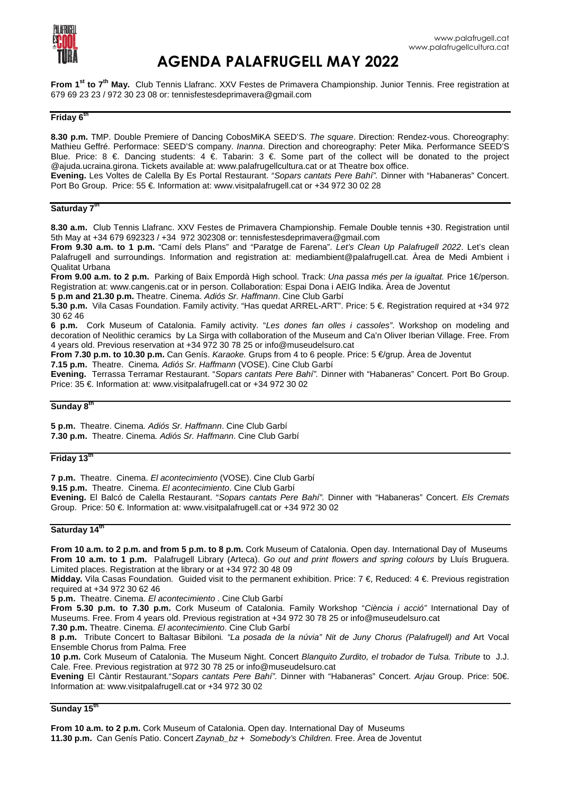

# **AGENDA PALAFRUGELL MAY 2022**

**From 1st to 7th May.** Club Tennis Llafranc. XXV Festes de Primavera Championship. Junior Tennis. Free registration at 679 69 23 23 / 972 30 23 08 or: tennisfestesdeprimavera@gmail.com

## **Friday 6th**

**8.30 p.m.** TMP. Double Premiere of Dancing CobosMiKA SEED'S. The square. Direction: Rendez-vous. Choreography: Mathieu Geffré. Performace: SEED'S company. Inanna. Direction and choreography: Peter Mika. Performance SEED'S Blue. Price: 8 €. Dancing students: 4 €. Tabarin: 3 €. Some part of the collect will be donated to the project @ajuda.ucraina.girona. Tickets available at: www.palafrugellcultura.cat or at Theatre box office.

**Evening.** Les Voltes de Calella By Es Portal Restaurant. "Sopars cantats Pere Bahí". Dinner with "Habaneras" Concert. Port Bo Group. Price: 55 €. Information at: www.visitpalafrugell.cat or +34 972 30 02 28

## **Saturday 7th**

**8.30 a.m.** Club Tennis Llafranc. XXV Festes de Primavera Championship. Female Double tennis +30. Registration until 5th May at +34 679 692323 / +34 972 302308 or: tennisfestesdeprimavera@gmail.com

**From 9.30 a.m. to 1 p.m.** "Camí dels Plans" and "Paratge de Farena". Let's Clean Up Palafrugell 2022. Let's clean Palafrugell and surroundings. Information and registration at: mediambient@palafrugell.cat. Àrea de Medi Ambient i Qualitat Urbana

**From 9.00 a.m. to 2 p.m.** Parking of Baix Empordà High school. Track: Una passa més per la igualtat. Price 1€/person. Registration at: www.cangenis.cat or in person. Collaboration: Espai Dona i AEIG Indika. Àrea de Joventut

**5 p.m and 21.30 p.m.** Theatre. Cinema. Adiós Sr. Haffmann. Cine Club Garbí

**5.30 p.m.** Vila Casas Foundation. Family activity. "Has quedat ARREL-ART". Price: 5 €. Registration required at +34 972 30 62 46

**6 p.m.** Cork Museum of Catalonia. Family activity. "Les dones fan olles i cassoles". Workshop on modeling and decoration of Neolithic ceramics by La Sirga with collaboration of the Museum and Ca'n Oliver Iberian Village. Free. From 4 years old. Previous reservation at +34 972 30 78 25 or info@museudelsuro.cat

**From 7.30 p.m. to 10.30 p.m.** Can Genís. Karaoke. Grups from 4 to 6 people. Price: 5 €/grup. Àrea de Joventut

**7.15 p.m.** Theatre. Cinema. Adiós Sr. Haffmann (VOSE). Cine Club Garbí

**Evening.** Terrassa Terramar Restaurant. "Sopars cantats Pere Bahí". Dinner with "Habaneras" Concert. Port Bo Group. Price: 35 €. Information at: www.visitpalafrugell.cat or +34 972 30 02

## **Sunday 8th**

**5 p.m.** Theatre. Cinema. Adiós Sr. Haffmann. Cine Club Garbí **7.30 p.m.** Theatre. Cinema. Adiós Sr. Haffmann. Cine Club Garbí

## **Friday 13th**

**7 p.m.** Theatre. Cinema. El acontecimiento (VOSE). Cine Club Garbí

**9.15 p.m.** Theatre. Cinema. El acontecimiento. Cine Club Garbí

**Evening.** El Balcó de Calella Restaurant. "Sopars cantats Pere Bahí". Dinner with "Habaneras" Concert. Els Cremats Group. Price: 50 €. Information at: www.visitpalafrugell.cat or +34 972 30 02

## **Saturday 14th**

**From 10 a.m. to 2 p.m. and from 5 p.m. to 8 p.m.** Cork Museum of Catalonia. Open day. International Day of Museums **From 10 a.m. to 1 p.m.** Palafrugell Library (Arteca). Go out and print flowers and spring colours by Lluís Bruguera. Limited places. Registration at the library or at +34 972 30 48 09

**Midday.** Vila Casas Foundation. Guided visit to the permanent exhibition. Price: 7 €, Reduced: 4 €. Previous registration required at +34 972 30 62 46

**5 p.m.** Theatre. Cinema. El acontecimiento . Cine Club Garbí

**From 5.30 p.m. to 7.30 p.m.** Cork Museum of Catalonia. Family Workshop "Ciència i acció" International Day of Museums. Free. From 4 years old. Previous registration at +34 972 30 78 25 or info@museudelsuro.cat

**7.30 p.m.** Theatre. Cinema. El acontecimiento. Cine Club Garbí

**8 p.m.** Tribute Concert to Baltasar Bibiloni. "La posada de la núvia" Nit de Juny Chorus (Palafrugell) and Art Vocal Ensemble Chorus from Palma. Free

**10 p.m.** Cork Museum of Catalonia. The Museum Night. Concert Blanquito Zurdito, el trobador de Tulsa. Tribute to J.J. Cale. Free. Previous registration at 972 30 78 25 or info@museudelsuro.cat

**Evening** El Càntir Restaurant."Sopars cantats Pere Bahí". Dinner with "Habaneras" Concert. Arjau Group. Price: 50€. Information at: www.visitpalafrugell.cat or +34 972 30 02

**Sunday 15th**

**From 10 a.m. to 2 p.m.** Cork Museum of Catalonia. Open day. International Day of Museums **11.30 p.m.** Can Genís Patio. Concert Zaynab\_bz + Somebody's Children. Free. Àrea de Joventut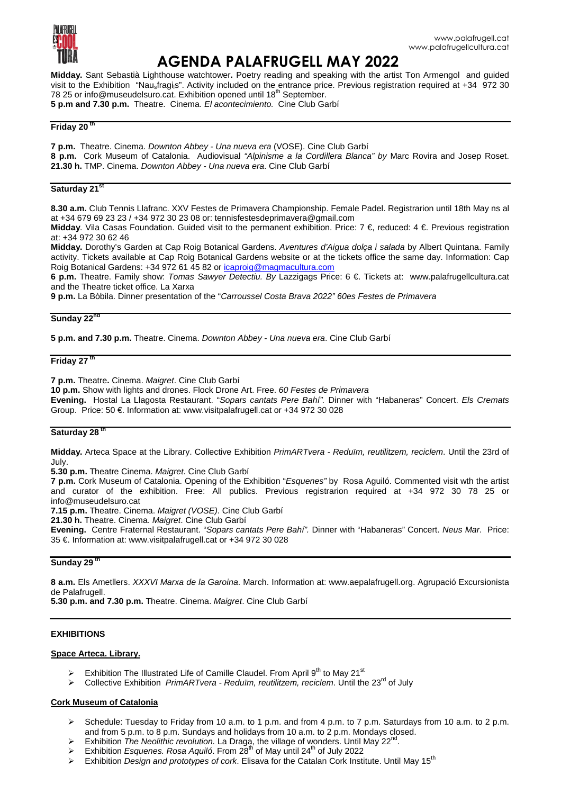

## **AGENDA PALAFRUGELL MAY 2022**

**Midday.** Sant Sebastià Lighthouse watchtower**.** Poetry reading and speaking with the artist Ton Armengol and guided visit to the Exhibition "Nau<sub>s</sub>fragi<sub>l</sub>s". Activity included on the entrance price. Previous registration required at +34 972 30 78 25 or info@museudelsuro.cat. Exhibition opened until 18<sup>th</sup> September. **5 p.m and 7.30 p.m.** Theatre. Cinema. El acontecimiento. Cine Club Garbí

## **Friday 20 th**

**7 p.m.** Theatre. Cinema. Downton Abbey - Una nueva era (VOSE). Cine Club Garbí **8 p.m.** Cork Museum of Catalonia. Audiovisual "Alpinisme a la Cordillera Blanca" by Marc Rovira and Josep Roset. **21.30 h.** TMP. Cinema. Downton Abbey - Una nueva era. Cine Club Garbí

#### **Saturday 21st**

**8.30 a.m.** Club Tennis Llafranc. XXV Festes de Primavera Championship. Female Padel. Registrarion until 18th May ns al at +34 679 69 23 23 / +34 972 30 23 08 or: tennisfestesdeprimavera@gmail.com

**Midday**. Vila Casas Foundation. Guided visit to the permanent exhibition. Price: 7 €, reduced: 4 €. Previous registration at: +34 972 30 62 46

**Midday.** Dorothy's Garden at Cap Roig Botanical Gardens. Aventures d'Aigua dolça i salada by Albert Quintana. Family activity. Tickets available at Cap Roig Botanical Gardens website or at the tickets office the same day. Information: Cap Roig Botanical Gardens: +34 972 61 45 82 or icaproig@magmacultura.com

**6 p.m.** Theatre. Family show: Tomas Sawyer Detectiu. By Lazzigags Price: 6 €. Tickets at: www.palafrugellcultura.cat and the Theatre ticket office. La Xarxa

**9 p.m.** La Bòbila. Dinner presentation of the "Carroussel Costa Brava 2022" 60es Festes de Primavera

#### **Sunday 22nd**

**5 p.m. and 7.30 p.m.** Theatre. Cinema. Downton Abbey - Una nueva era. Cine Club Garbí

## **Friday 27<sup>th</sup>**

**7 p.m.** Theatre**.** Cinema. Maigret. Cine Club Garbí

**10 p.m.** Show with lights and drones. Flock Drone Art. Free. 60 Festes de Primavera

**Evening.** Hostal La Llagosta Restaurant. "Sopars cantats Pere Bahí". Dinner with "Habaneras" Concert. Els Cremats Group. Price: 50 €. Information at: www.visitpalafrugell.cat or +34 972 30 028

#### **Saturday 28 th**

**Midday.** Arteca Space at the Library. Collective Exhibition PrimARTvera - Reduïm, reutilitzem, reciclem. Until the 23rd of July.

**5.30 p.m.** Theatre Cinema. Maigret. Cine Club Garbí

**7 p.m.** Cork Museum of Catalonia. Opening of the Exhibition "Esquenes" by Rosa Aguiló. Commented visit wth the artist and curator of the exhibition. Free: All publics. Previous registrarion required at +34 972 30 78 25 or info@museudelsuro.cat

**7.15 p.m.** Theatre. Cinema. Maigret (VOSE). Cine Club Garbí

**21.30 h.** Theatre. Cinema. Maigret. Cine Club Garbí

**Evening.** Centre Fraternal Restaurant. "Sopars cantats Pere Bahí". Dinner with "Habaneras" Concert. Neus Mar. Price: 35 €. Information at: www.visitpalafrugell.cat or +34 972 30 028

#### **Sunday 29 th**

**8 a.m.** Els Ametllers. XXXVI Marxa de la Garoina. March. Information at: www.aepalafrugell.org. Agrupació Excursionista de Palafrugell.

**5.30 p.m. and 7.30 p.m.** Theatre. Cinema. Maigret. Cine Club Garbí

#### **EXHIBITIONS**

#### **Space Arteca. Library.**

- Exhibition The Illustrated Life of Camille Claudel. From April  $9<sup>th</sup>$  to May 21<sup>st</sup>
- $\triangleright$  Collective Exhibition PrimARTvera Reduïm, reutilitzem, reciclem. Until the 23<sup>rd</sup> of July

#### **Cork Museum of Catalonia**

- ▶ Schedule: Tuesday to Friday from 10 a.m. to 1 p.m. and from 4 p.m. to 7 p.m. Saturdays from 10 a.m. to 2 p.m. and from 5 p.m. to 8 p.m. Sundays and holidays from 10 a.m. to 2 p.m. Mondays closed.
- Exhibition The Neolithic revolution. La Draga, the village of wonders. Until May  $22^{nd}$ .
- Exhibition Esquenes. Rosa Aquiló. From  $28<sup>th</sup>$  of May until 24<sup>th</sup> of July 2022
- Exhibition Design and prototypes of cork. Elisava for the Catalan Cork Institute. Until May 15<sup>th</sup>